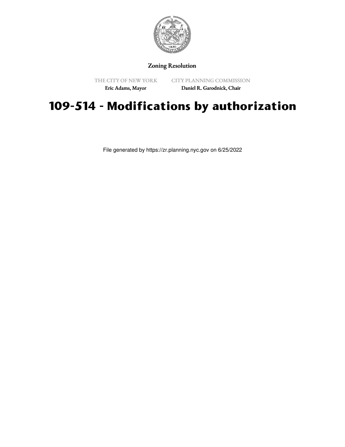

## Zoning Resolution

THE CITY OF NEW YORK Eric Adams, Mayor

CITY PLANNING COMMISSION Daniel R. Garodnick, Chair

## **109-514 - Modifications by authorization**

File generated by https://zr.planning.nyc.gov on 6/25/2022